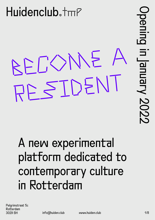## Huidenclub.tmp

RECOME RESIDENT

# Opening in January 2022 peninc  $1$  January 202

### A new experimental platform dedicated to contemporary culture in Rotterdam

Pelgrimstraat 5c Rotterdam 3029 BH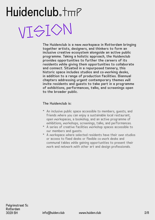# $Huidenclub.*mP$ VISION

The Huidenclub is a new workspace in Rotterdam bringing together artists, designers, and thinkers to form an inclusive creative ecosystem alongside an active public programme. Taking a holistic approach, the Huidenclub provides opportunities to further the careers of its residents while giving them opportunities to collaborate and connect. Situated in a repurposed tannery, this historic space includes studios and co-working desks, in addition to a range of production facilities. Biannual chapters addressing urgent contemporary themes will invite residents and guests to take part in a programme of exhibitions, performances, talks, and screenings open to the broader public.

#### The Huidenclub is:

- \* An inclusive public space accessible to members, guests, and friends where you can enjoy a sustainable local restaurant, open workspaces, a bookshop, and an active programme of exhibitions, workshops, screenings, talks, and performances.
- \* A series of creative facilities workshop spaces accessible to our members and guests.
- \* A workspace where selected residents have their own studios or access to fixed desks or flexible co-work desks and communal tables while gaining opportunities to present their work and network with other art and design professionals.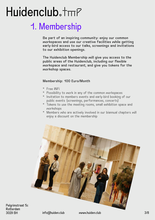### 1. Membership

Be part of an inspiring community: enjoy our common workspaces and use our creative facilities while getting early-bird access to our talks, screenings and invitations to our exhibition openings.

The Huidenclub Membership will give you access to the public areas of the Huidenclub, including our flexible workspace and restaurant, and give you tokens for the workshop spaces.

#### Membership: 100 Euro/Month

- \* Free WiFi
- \* Possibility to work in any of the common workspaces
- \* Invitation to members events and early-bird booking of our public events (screenings, performances, concerts)
- \* Tokens to use the meeting rooms, small exhibition space and workshops
- \* Members who are actively involved in our biannual chapters will enjoy a discount on the membership

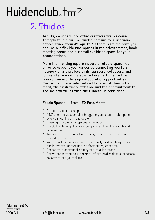### 2. Studios

Artists, designers, and other creatives are welcome to apply to join our like-minded community. Our studio spaces range from 45 sqm to 100 sqm. As a resident, you can use our flexible workspaces in the private areas, book meeting rooms and our small exhibition space for your presentations.

More than renting square meters of studio space, we offer to support your career by connecting you to a network of art professionals, curators, collectors, and journalists. You will be able to take part in an active programme and develop collaboration opportunities. Our residents are selected on the basis of their artistic merit, their risk-taking attitude and their commitment to the societal values that the Huidenclub holds dear.

#### Studio Spaces — from 450 Euro/Month

- \* Automatic membership
- \* 24/7 secured access with badge to your own studio space
- \* One year contract, renewable
- \* Cleaning of communal spaces is included
- \* Possibility to register your company at the Huidenclub and receive mail
- \* Tokens to use the meeting rooms, presentation space and workshop spaces
- \* Invitation to members events and early bird booking of our public events (screenings, performances, concerts)
- \* Access to a communal pantry and relaxing areas
- \* Active connection to a network of art professionals, curators, collectors and journalists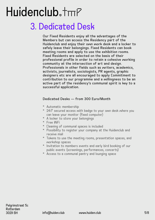### 3. Dedicated Desk

Our Fixed Residents enjoy all the advantages of the Members but can access the Residency part of the Huidenclub and enjoy their own work desk and a locker to safely leave their belongings. Fixed Residents can book meeting rooms and apply to use the exhibition rooms. Fixed Residents are selected on the basis of their professional profile in order to retain a cohesive working community at the intersection of art and design. Professionals in other fields such as writers, academics, activists, journalists, sociologists, PR agents, graphic designers etc are all encouraged to apply Commitment to contribution to our programme and a willingness to be an active part of the residency's communal spirit is key to a successful application.

#### Dedicated Desks — from 300 Euro/Month

- \* Automatic membership
- \* 24/7 secured access with badge to your own desk where you can leave your monitor (fixed computer)
- \* A locker to store your belongings
- \* Free WiFi
- \* Cleaning of communal spaces is included
- \* Possibility to register your company at the Huidenclub and receive mail
- \* Tokens to use the meeting rooms, presentation spaces, and workshop spaces
- \* Invitation to members events and early bird booking of our public events (screenings, performances, concerts)
- \* Access to a communal pantry and lounging space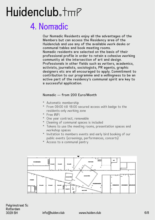### 4. Nomadic

Our Nomadic Residents enjoy all the advantages of the Members but can access the Residency area of the Huidenclub and use any of the available work desks or communal tables and book meeting rooms. Nomadic residents are selected on the basis of their professional profile in order to retain a cohesive working community at the intersection of art and design. Professionals in other fields such as writers, academics, activists, journalists, sociologists, PR agents, graphic designers etc are all encouraged to apply. Commitment to contribution to our programme and a willingness to be an active part of the residency's communal spirit are key to a successful application.

#### Nomadic — from 200 Euro/Month

- \* Automatic membership
- \* From 09:00 till 18:00 secured access with badge to the residents-only working zone
- \* Free WiFi
- \* One year contract, renewable
- \* Cleaning of communal spaces is included
- \* Tokens to use the meeting rooms, presentation spaces and workshop spaces
- \* Invitation to members events and early bird booking of our public events (screenings, performances, concerts)
- \* Access to a communal pantry

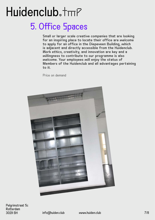### 5. Office Spaces

Small or larger scale creative companies that are looking for an inspiring place to locate their office are welcome to apply for an office in the Diepeveen Building, which is adjacent and directly accessible from the Huidenclub. Work ethics, creativity, and innovation are key and a willingness to contribute to our programme is also welcome. Your employees will enjoy the status of Members of the Huidenclub and all advantages pertaining to it.

Price on demand



Pelgrimstraat 5c Rotterdam 3029 BH